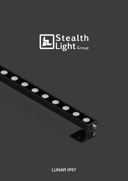## EDStealth<br>Light Group



LUNAR IP67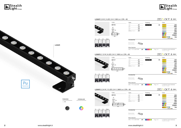



Pag. 014

**CROMALINE** 

|                                |     |             | IP67     | $5 \times 10^{-10}$                                  |  |  |  |
|--------------------------------|-----|-------------|----------|------------------------------------------------------|--|--|--|
| Optic                          |     | Finishing   |          | Color                                                |  |  |  |
| $10^{\circ}$                   | .01 | Anod. Black | .18      | (2700K)<br>.EW                                       |  |  |  |
| $25^{\circ}$                   | .02 |             |          | (3000K)<br>.ww                                       |  |  |  |
| $40^{\circ}$                   | .03 |             |          | (3500 K)<br>.LW                                      |  |  |  |
| <b>Ellittico Elliptic</b>      | .04 |             |          | (4000K)<br>.NW                                       |  |  |  |
|                                |     |             |          | (5000K)<br>.CW                                       |  |  |  |
|                                |     |             |          | RGB<br>.RGB<br>RGBW)<br>.RGBW                        |  |  |  |
|                                |     |             |          | <b>DYNAMIC WHITE</b>                                 |  |  |  |
|                                |     |             |          | .TW<br>controlled by CASAMBI                         |  |  |  |
| Accessories                    |     |             |          |                                                      |  |  |  |
| Driver remoto<br>Remote Driver |     |             |          |                                                      |  |  |  |
| More features                  |     |             |          |                                                      |  |  |  |
| DALI, 1-10 V, switch DIM       | .44 | CROMALINE   | Pag. 014 | Lunghezza personalizzata<br>Custom length            |  |  |  |
| 90                             |     |             | IP67     | $25 \, \text{CE} \, \mathbb{V}$<br>◇<br>$A++$        |  |  |  |
| Optic                          |     | Finishing   |          | Color                                                |  |  |  |
| $10^{\circ}$                   | .01 | Anod. Black | .18      | (2700K)<br>.EW                                       |  |  |  |
| $25^\circ$                     | .02 |             |          | (3000 K)<br>.ww                                      |  |  |  |
| $40^{\circ}$                   | .03 |             |          | (3500 K)<br>.LW                                      |  |  |  |
| Ellittico Elliptic             | .04 |             |          | (4000 K)<br>.NW                                      |  |  |  |
|                                |     |             |          | (5000 K)<br>.CW<br>RGB                               |  |  |  |
|                                |     |             |          | .RGB<br>RGBW)<br>.RGBW                               |  |  |  |
|                                |     |             |          | <b>DYNAMIC WHITE</b><br>.TW                          |  |  |  |
| Accessories                    |     |             |          | controlled by CASAMBI                                |  |  |  |
|                                |     |             |          |                                                      |  |  |  |
| Driver remoto                  |     |             |          |                                                      |  |  |  |
| Remote Driver                  |     |             |          |                                                      |  |  |  |
| More features                  |     |             |          |                                                      |  |  |  |
| DALI, 1-10 V, switch DIM       | .44 | CROMALINE   | Pag. 014 | Lunghezza personalizzata                             |  |  |  |
|                                |     |             |          | Custom length                                        |  |  |  |
| 90                             |     |             | IP67     | $5 \times 10^{-10}$                                  |  |  |  |
| Optic                          |     | Finishing   |          | Color                                                |  |  |  |
|                                |     | Anod. Black | .18      | (2700K)                                              |  |  |  |
| $10^{\circ}$                   | .01 |             |          | .EW<br>(3000K)<br>.ww                                |  |  |  |
| $25^{\circ}$                   | .02 |             |          | (3500K)<br>.LW                                       |  |  |  |
| $40^{\circ}$                   | .03 |             |          | (4000K)<br>.NW                                       |  |  |  |
| <b>Ellittico Elliptic</b>      | .04 |             |          | (5000K)<br>.CW                                       |  |  |  |
|                                |     |             |          | RGB <sup></sup><br>.RGB                              |  |  |  |
|                                |     |             |          | RGBW)<br>.RGBW                                       |  |  |  |
|                                |     |             |          | <b>DYNAMIC WHITE</b><br>.TW<br>controlled by CASAMBI |  |  |  |
| Accessories                    |     |             |          |                                                      |  |  |  |
| Driver remoto                  |     |             |          |                                                      |  |  |  |
| Remote Driver                  |     |             |          |                                                      |  |  |  |
|                                |     |             |          |                                                      |  |  |  |
| More features                  |     |             |          |                                                      |  |  |  |

## 2 www.stealthlight.it www.stealthlight.it

DALI, 1-10 V, switch DIM 144

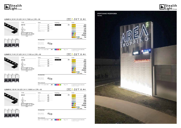





|                                        | <b>TYPE</b>                                                                   | Optic                                            | Finishing   |          | Color                                                |
|----------------------------------------|-------------------------------------------------------------------------------|--------------------------------------------------|-------------|----------|------------------------------------------------------|
|                                        | 50119                                                                         | $10^{\circ}$<br>.01                              | Anod. Black | .18      | (2700K)<br>.EW                                       |
|                                        | 35                                                                            | .02<br>$25^{\circ}$                              |             |          | (3000K)<br>.ww                                       |
|                                        | $\overline{\mathbb{P}^{\bullet}_{\mathbb{C}}}$                                | .03<br>$40^{\circ}$                              |             |          | (3500 K)<br>.LW<br>(4000K)                           |
|                                        | 63                                                                            | .04<br><b>Ellittico Elliptic</b>                 |             |          | .NW<br>(5000K)<br>.cw                                |
|                                        | $\circ$<br>$O/\!\!/O$<br>$\overline{O_0}$  63<br>$\circ$                      |                                                  |             |          | RGB<br>RGB                                           |
|                                        | 1030                                                                          |                                                  |             |          | <b>RGBW</b><br>.RGBW                                 |
|                                        |                                                                               |                                                  |             |          | <b>DYNAMIC WHITE</b><br>.TW<br>controlled by CASAMBI |
| $25^\circ$<br>$40^{\circ}$<br>Elliptic |                                                                               | Accessories                                      |             |          |                                                      |
|                                        |                                                                               | Driver remoto                                    |             |          |                                                      |
|                                        |                                                                               | Remote Driver                                    |             |          |                                                      |
|                                        |                                                                               |                                                  |             |          |                                                      |
|                                        |                                                                               | More features<br>.44<br>DALI, 1-10 V, switch DIM | CROMALINE   | Pag. 014 | Lunghezza personalizzata                             |
|                                        |                                                                               |                                                  |             |          | Custom length                                        |
|                                        | LUNAR 5   74 W   37 LED   24 V   11100 Lm   CRI > 90                          |                                                  |             | IP67     | $5 C E \nabla \Phi$ A++                              |
|                                        |                                                                               |                                                  |             |          |                                                      |
|                                        | <b>TYPE</b>                                                                   | Optic                                            | Finishing   |          | Color                                                |
|                                        | 50120                                                                         | .01<br>$10^{\circ}$                              | Anod. Black | .18      | (2700K)<br>.EW                                       |
|                                        | $\frac{35}{2}$                                                                | .02<br>$25^{\circ}$                              |             |          | (3000K)<br>.ww<br>3500 K<br>.LW                      |
|                                        | 63                                                                            | .03<br>$40^{\circ}$                              |             |          | (4000K)<br>.NW                                       |
|                                        |                                                                               | .04<br><b>Ellittico Elliptic</b>                 |             |          | (5000K)<br>.cw                                       |
|                                        | O/O<br>$\bigcirc$<br>$\overline{O}$ $\overline{O}$ $\overline{63}$<br>$\circ$ |                                                  |             |          | RGB<br>.RGB<br><b>RGBW</b><br>.RGBW                  |
|                                        | 1510                                                                          |                                                  |             |          | <b>DYNAMIC WHITE</b><br>.TW                          |
| $25^\circ$<br>$40^{\circ}$<br>Elliptic |                                                                               | Accessories                                      |             |          | controlled by CASAMBI                                |
|                                        |                                                                               |                                                  |             |          |                                                      |
|                                        |                                                                               | Driver remoto                                    |             |          |                                                      |
|                                        |                                                                               | Remote Driver                                    |             |          |                                                      |
|                                        |                                                                               | More features                                    |             |          |                                                      |
|                                        |                                                                               | DALI, 1-10 V, switch DIM<br>.44                  | CROMALINE   | Pag. 014 | Lunghezza personalizzata<br>Custom length            |
|                                        |                                                                               |                                                  |             |          |                                                      |
|                                        | LUNAR 6   100 W   50 LED   24 V   15000 Lm   CRI > 90                         |                                                  |             | IP67     | $5 C E \otimes \otimes A +$                          |
|                                        | <b>TYPE</b>                                                                   | Optic                                            | Finishing   |          | Color                                                |
|                                        | 50121                                                                         | $10^{\circ}$<br>.01                              | Anod. Black | .18      | (2700K)<br>.EW                                       |
|                                        |                                                                               | $25^{\circ}$<br>.02                              |             |          | (3000K)<br>.ww                                       |
|                                        | 35                                                                            | .03<br>$40^{\circ}$                              |             |          | (3500 K)<br>.LW                                      |
|                                        | $\overline{[\bullet^\circ\bullet]}$<br>63                                     | .04<br><b>Ellittico Elliptic</b>                 |             |          | (4000K)<br>.NW<br>(5000 K)<br>.cw                    |
|                                        |                                                                               |                                                  |             |          | RGB<br>RGB                                           |
|                                        | $ 0\circ$<br>O/10<br>$\circ$<br>$\bigcirc$ 63                                 |                                                  |             |          | <b>RGBW</b><br>.RGBW                                 |
|                                        | 2030                                                                          |                                                  |             |          | <b>DYNAMIC WHITE</b><br>.TW<br>controlled by CASAMBI |
| $25^\circ$<br>Elliptic<br>$40^{\circ}$ |                                                                               | Accessories                                      |             |          |                                                      |
|                                        |                                                                               |                                                  |             |          |                                                      |
|                                        |                                                                               | Driver remoto<br>Remote Driver                   |             |          |                                                      |
|                                        |                                                                               |                                                  |             |          |                                                      |
|                                        |                                                                               |                                                  |             |          |                                                      |
|                                        |                                                                               | More features<br>.44<br>DALI, 1-10 V, switch DIM | CROMALINE   | Pag. 014 | Lunghezza personalizzata                             |